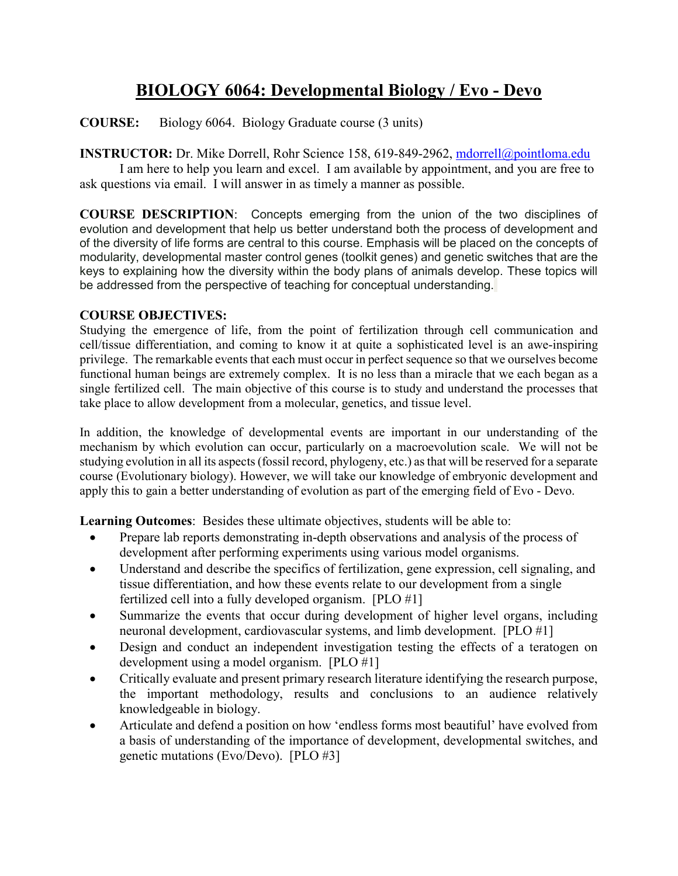# **BIOLOGY 6064: Developmental Biology / Evo - Devo**

**COURSE:** Biology 6064. Biology Graduate course (3 units)

# **INSTRUCTOR:** Dr. Mike Dorrell, Rohr Science 158, 619-849-2962, [mdorrell@pointloma.edu](mailto:mdorrell@pointloma.edu)

I am here to help you learn and excel. I am available by appointment, and you are free to ask questions via email. I will answer in as timely a manner as possible.

**COURSE DESCRIPTION**: Concepts emerging from the union of the two disciplines of evolution and development that help us better understand both the process of development and of the diversity of life forms are central to this course. Emphasis will be placed on the concepts of modularity, developmental master control genes (toolkit genes) and genetic switches that are the keys to explaining how the diversity within the body plans of animals develop. These topics will be addressed from the perspective of teaching for conceptual understanding.

# **COURSE OBJECTIVES:**

Studying the emergence of life, from the point of fertilization through cell communication and cell/tissue differentiation, and coming to know it at quite a sophisticated level is an awe-inspiring privilege. The remarkable events that each must occur in perfect sequence so that we ourselves become functional human beings are extremely complex. It is no less than a miracle that we each began as a single fertilized cell. The main objective of this course is to study and understand the processes that take place to allow development from a molecular, genetics, and tissue level.

In addition, the knowledge of developmental events are important in our understanding of the mechanism by which evolution can occur, particularly on a macroevolution scale. We will not be studying evolution in all its aspects (fossil record, phylogeny, etc.) as that will be reserved for a separate course (Evolutionary biology). However, we will take our knowledge of embryonic development and apply this to gain a better understanding of evolution as part of the emerging field of Evo - Devo.

**Learning Outcomes**: Besides these ultimate objectives, students will be able to:

- Prepare lab reports demonstrating in-depth observations and analysis of the process of development after performing experiments using various model organisms.
- Understand and describe the specifics of fertilization, gene expression, cell signaling, and tissue differentiation, and how these events relate to our development from a single fertilized cell into a fully developed organism. [PLO #1]
- Summarize the events that occur during development of higher level organs, including neuronal development, cardiovascular systems, and limb development. [PLO #1]
- Design and conduct an independent investigation testing the effects of a teratogen on development using a model organism. [PLO #1]
- Critically evaluate and present primary research literature identifying the research purpose, the important methodology, results and conclusions to an audience relatively knowledgeable in biology.
- Articulate and defend a position on how 'endless forms most beautiful' have evolved from a basis of understanding of the importance of development, developmental switches, and genetic mutations (Evo/Devo). [PLO #3]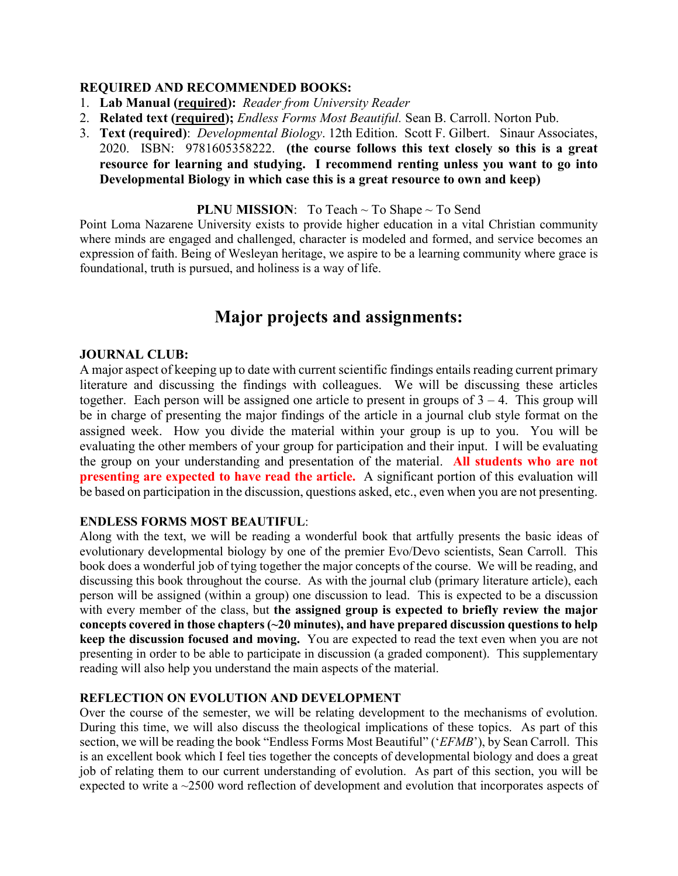#### **REQUIRED AND RECOMMENDED BOOKS:**

- 1. **Lab Manual (required):** *Reader from University Reader*
- 2. **Related text (required);** *Endless Forms Most Beautiful.* Sean B. Carroll. Norton Pub.
- 3. **Text (required)**: *Developmental Biology*. 12th Edition. Scott F. Gilbert. Sinaur Associates, 2020. ISBN: 9781605358222. **(the course follows this text closely so this is a great resource for learning and studying. I recommend renting unless you want to go into Developmental Biology in which case this is a great resource to own and keep)**

#### **PLNU MISSION**: To Teach ~ To Shape ~ To Send

Point Loma Nazarene University exists to provide higher education in a vital Christian community where minds are engaged and challenged, character is modeled and formed, and service becomes an expression of faith. Being of Wesleyan heritage, we aspire to be a learning community where grace is foundational, truth is pursued, and holiness is a way of life.

# **Major projects and assignments:**

#### **JOURNAL CLUB:**

A major aspect of keeping up to date with current scientific findings entails reading current primary literature and discussing the findings with colleagues. We will be discussing these articles together. Each person will be assigned one article to present in groups of  $3 - 4$ . This group will be in charge of presenting the major findings of the article in a journal club style format on the assigned week. How you divide the material within your group is up to you. You will be evaluating the other members of your group for participation and their input. I will be evaluating the group on your understanding and presentation of the material. **All students who are not presenting are expected to have read the article.** A significant portion of this evaluation will be based on participation in the discussion, questions asked, etc., even when you are not presenting.

#### **ENDLESS FORMS MOST BEAUTIFUL**:

Along with the text, we will be reading a wonderful book that artfully presents the basic ideas of evolutionary developmental biology by one of the premier Evo/Devo scientists, Sean Carroll. This book does a wonderful job of tying together the major concepts of the course. We will be reading, and discussing this book throughout the course. As with the journal club (primary literature article), each person will be assigned (within a group) one discussion to lead. This is expected to be a discussion with every member of the class, but **the assigned group is expected to briefly review the major concepts covered in those chapters (~20 minutes), and have prepared discussion questions to help keep the discussion focused and moving.** You are expected to read the text even when you are not presenting in order to be able to participate in discussion (a graded component). This supplementary reading will also help you understand the main aspects of the material.

#### **REFLECTION ON EVOLUTION AND DEVELOPMENT**

Over the course of the semester, we will be relating development to the mechanisms of evolution. During this time, we will also discuss the theological implications of these topics. As part of this section, we will be reading the book "Endless Forms Most Beautiful" ('*EFMB*'), by Sean Carroll. This is an excellent book which I feel ties together the concepts of developmental biology and does a great job of relating them to our current understanding of evolution. As part of this section, you will be expected to write a ~2500 word reflection of development and evolution that incorporates aspects of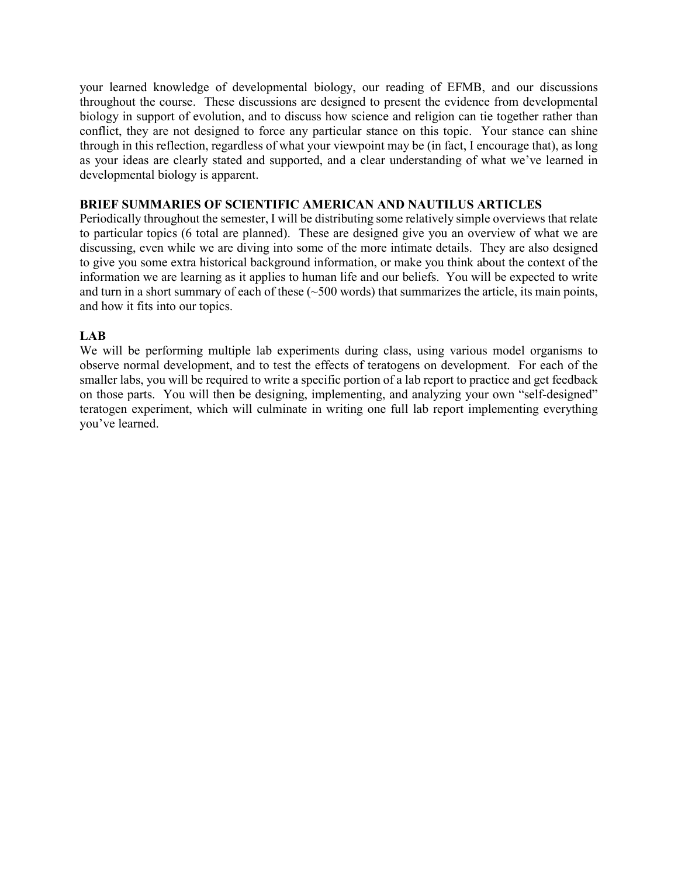your learned knowledge of developmental biology, our reading of EFMB, and our discussions throughout the course. These discussions are designed to present the evidence from developmental biology in support of evolution, and to discuss how science and religion can tie together rather than conflict, they are not designed to force any particular stance on this topic. Your stance can shine through in this reflection, regardless of what your viewpoint may be (in fact, I encourage that), as long as your ideas are clearly stated and supported, and a clear understanding of what we've learned in developmental biology is apparent.

#### **BRIEF SUMMARIES OF SCIENTIFIC AMERICAN AND NAUTILUS ARTICLES**

Periodically throughout the semester, I will be distributing some relatively simple overviews that relate to particular topics (6 total are planned). These are designed give you an overview of what we are discussing, even while we are diving into some of the more intimate details. They are also designed to give you some extra historical background information, or make you think about the context of the information we are learning as it applies to human life and our beliefs. You will be expected to write and turn in a short summary of each of these  $(-500 \text{ words})$  that summarizes the article, its main points, and how it fits into our topics.

## **LAB**

We will be performing multiple lab experiments during class, using various model organisms to observe normal development, and to test the effects of teratogens on development. For each of the smaller labs, you will be required to write a specific portion of a lab report to practice and get feedback on those parts. You will then be designing, implementing, and analyzing your own "self-designed" teratogen experiment, which will culminate in writing one full lab report implementing everything you've learned.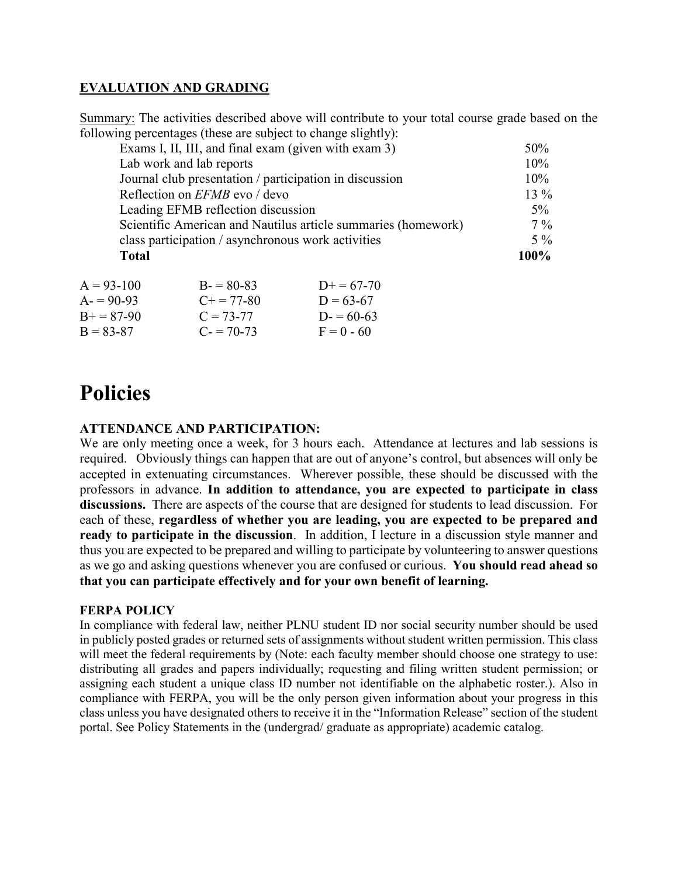# **EVALUATION AND GRADING**

Summary: The activities described above will contribute to your total course grade based on the following percentages (these are subject to change slightly):

| <b>Total</b>                                                  | $100\%$ |
|---------------------------------------------------------------|---------|
| class participation / asynchronous work activities            | $5\%$   |
| Scientific American and Nautilus article summaries (homework) | $7\%$   |
| Leading EFMB reflection discussion                            | $5\%$   |
| Reflection on <i>EFMB</i> evo / devo                          | $13\%$  |
| Journal club presentation / participation in discussion       | 10%     |
| Lab work and lab reports                                      | 10%     |
| Exams I, II, III, and final exam (given with exam 3)          | 50%     |
|                                                               |         |

| $A = 93-100$      | $B = 80-83$         | $D+=67-70$   |
|-------------------|---------------------|--------------|
| $A = 90-93$       | $C_{\pm} = 77 - 80$ | $1) = 63-67$ |
| $R_{+} = 87 - 90$ | $C = 73-77$         | $D = 60-63$  |
| $B = 83-87$       | $C = 70-73$         | $F = 0 - 60$ |

# **Policies**

# **ATTENDANCE AND PARTICIPATION:**

We are only meeting once a week, for 3 hours each. Attendance at lectures and lab sessions is required. Obviously things can happen that are out of anyone's control, but absences will only be accepted in extenuating circumstances. Wherever possible, these should be discussed with the professors in advance. **In addition to attendance, you are expected to participate in class discussions.** There are aspects of the course that are designed for students to lead discussion. For each of these, **regardless of whether you are leading, you are expected to be prepared and ready to participate in the discussion**. In addition, I lecture in a discussion style manner and thus you are expected to be prepared and willing to participate by volunteering to answer questions as we go and asking questions whenever you are confused or curious. **You should read ahead so that you can participate effectively and for your own benefit of learning.**

## **FERPA POLICY**

In compliance with federal law, neither PLNU student ID nor social security number should be used in publicly posted grades or returned sets of assignments without student written permission. This class will meet the federal requirements by (Note: each faculty member should choose one strategy to use: distributing all grades and papers individually; requesting and filing written student permission; or assigning each student a unique class ID number not identifiable on the alphabetic roster.). Also in compliance with FERPA, you will be the only person given information about your progress in this class unless you have designated others to receive it in the "Information Release" section of the student portal. See Policy Statements in the (undergrad/ graduate as appropriate) academic catalog.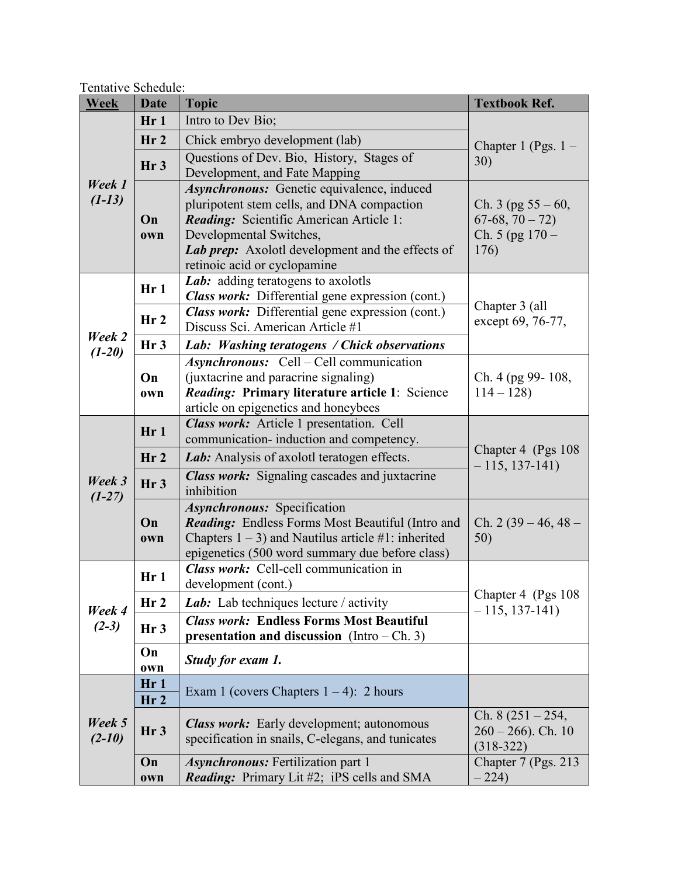| <b>Week</b>        | <b>Date</b>     | <b>Topic</b>                                                                              | <b>Textbook Ref.</b>                    |
|--------------------|-----------------|-------------------------------------------------------------------------------------------|-----------------------------------------|
|                    | Hr1             | Intro to Dev Bio;                                                                         |                                         |
|                    | Hr <sub>2</sub> | Chick embryo development (lab)                                                            | Chapter 1 (Pgs. $1 -$                   |
|                    |                 | Questions of Dev. Bio, History, Stages of                                                 | 30)                                     |
|                    | Hr <sub>3</sub> | Development, and Fate Mapping                                                             |                                         |
| Week 1             |                 | Asynchronous: Genetic equivalence, induced                                                |                                         |
| $(1-13)$           |                 | pluripotent stem cells, and DNA compaction                                                | Ch. 3 (pg $55 - 60$ ,                   |
|                    | On              | Reading: Scientific American Article 1:                                                   | $67-68, 70-72)$                         |
|                    | own             | Developmental Switches,                                                                   | Ch. $5$ (pg $170 -$                     |
|                    |                 | Lab prep: Axolotl development and the effects of<br>retinoic acid or cyclopamine          | 176)                                    |
|                    |                 | Lab: adding teratogens to axolotls                                                        |                                         |
|                    | Hr1             | Class work: Differential gene expression (cont.)                                          |                                         |
|                    |                 | <b>Class work:</b> Differential gene expression (cont.)                                   | Chapter 3 (all                          |
|                    | Hr <sub>2</sub> | Discuss Sci. American Article #1                                                          | except 69, 76-77,                       |
| Week 2             | Hr <sub>3</sub> | Lab: Washing teratogens / Chick observations                                              |                                         |
| $(1-20)$           |                 | <b>Asynchronous:</b> Cell – Cell communication                                            |                                         |
|                    | On              | (juxtacrine and paracrine signaling)                                                      | Ch. 4 (pg 99-108,                       |
|                    | own             | Reading: Primary literature article 1: Science                                            | $114 - 128$                             |
|                    |                 | article on epigenetics and honeybees                                                      |                                         |
|                    | Hr1             | Class work: Article 1 presentation. Cell                                                  |                                         |
|                    |                 | communication-induction and competency.                                                   | Chapter 4 (Pgs 108)<br>$-115, 137-141)$ |
|                    | Hr <sub>2</sub> | Lab: Analysis of axolotl teratogen effects.                                               |                                         |
| Week 3             | Hr <sub>3</sub> | <b>Class work:</b> Signaling cascades and juxtacrine                                      |                                         |
| $(1-27)$           |                 | inhibition                                                                                |                                         |
|                    |                 | <b>Asynchronous:</b> Specification                                                        |                                         |
|                    | On              | <b>Reading:</b> Endless Forms Most Beautiful (Intro and                                   | Ch. $2(39-46, 48-$                      |
|                    | own             | Chapters $1 - 3$ ) and Nautilus article #1: inherited                                     | 50)                                     |
|                    |                 | epigenetics (500 word summary due before class)<br>Class work: Cell-cell communication in |                                         |
|                    | Hr1             | development (cont.)                                                                       |                                         |
|                    | Hr <sub>2</sub> | Lab: Lab techniques lecture / activity                                                    | Chapter 4 (Pgs 108)                     |
| Week 4             |                 | <b>Class work: Endless Forms Most Beautiful</b>                                           | $-115, 137-141)$                        |
| $(2-3)$            | Hr <sub>3</sub> | presentation and discussion (Intro $-$ Ch. 3)                                             |                                         |
|                    | On              | Study for exam 1.                                                                         |                                         |
|                    | own             |                                                                                           |                                         |
|                    | Hr1             | Exam 1 (covers Chapters $1 - 4$ ): 2 hours                                                |                                         |
| Week 5<br>$(2-10)$ | Hr <sub>2</sub> |                                                                                           |                                         |
|                    | Hr <sub>3</sub> | <b>Class work:</b> Early development; autonomous                                          | Ch. $8(251 - 254,$                      |
|                    |                 | specification in snails, C-elegans, and tunicates                                         | $260 - 266$ ). Ch. 10<br>$(318-322)$    |
|                    | On              | <b>Asynchronous:</b> Fertilization part 1                                                 | Chapter 7 (Pgs. 213)                    |
|                    | own             | <b>Reading:</b> Primary Lit #2; iPS cells and SMA                                         | $-224$                                  |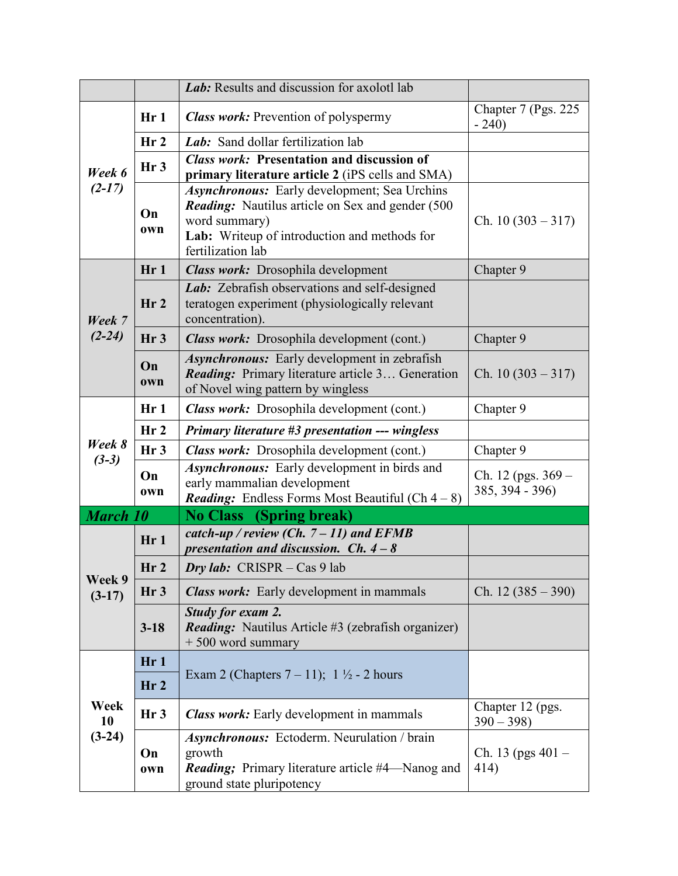|                        |                        | Lab: Results and discussion for axolotl lab                                                                                                                                                           |                                         |
|------------------------|------------------------|-------------------------------------------------------------------------------------------------------------------------------------------------------------------------------------------------------|-----------------------------------------|
| Week 6<br>$(2-17)$     | Hr1                    | <b>Class work:</b> Prevention of polyspermy                                                                                                                                                           | Chapter 7 (Pgs. 225)<br>$-240$          |
|                        | Hr <sub>2</sub>        | Lab: Sand dollar fertilization lab                                                                                                                                                                    |                                         |
|                        | Hr <sub>3</sub>        | <b>Class work: Presentation and discussion of</b><br>primary literature article 2 (iPS cells and SMA)                                                                                                 |                                         |
|                        | On<br>own              | <b>Asynchronous:</b> Early development; Sea Urchins<br><b>Reading:</b> Nautilus article on Sex and gender (500)<br>word summary)<br>Lab: Writeup of introduction and methods for<br>fertilization lab | Ch. $10(303 - 317)$                     |
|                        | Hr1                    | Class work: Drosophila development                                                                                                                                                                    | Chapter 9                               |
| Week 7                 | Hr <sub>2</sub>        | Lab: Zebrafish observations and self-designed<br>teratogen experiment (physiologically relevant<br>concentration).                                                                                    |                                         |
| $(2-24)$               | Hr <sub>3</sub>        | Class work: Drosophila development (cont.)                                                                                                                                                            | Chapter 9                               |
|                        | On<br>own              | Asynchronous: Early development in zebrafish<br><b>Reading:</b> Primary literature article 3 Generation<br>of Novel wing pattern by wingless                                                          | Ch. $10(303 - 317)$                     |
|                        | Hr1                    | Class work: Drosophila development (cont.)                                                                                                                                                            | Chapter 9                               |
| Week 8<br>$(3-3)$      | Hr <sub>2</sub>        | Primary literature #3 presentation --- wingless                                                                                                                                                       |                                         |
|                        | Hr <sub>3</sub>        | Class work: Drosophila development (cont.)                                                                                                                                                            | Chapter 9                               |
|                        | On<br>own              | Asynchronous: Early development in birds and<br>early mammalian development<br><b>Reading:</b> Endless Forms Most Beautiful (Ch $4-8$ )                                                               | Ch. 12 (pgs. $369 -$<br>385, 394 - 396) |
| <b>March 10</b>        |                        | <b>No Class</b> (Spring break)                                                                                                                                                                        |                                         |
|                        | Hr1                    | catch-up / review (Ch. $7 - 11$ ) and EFMB<br>presentation and discussion. Ch. $4 - 8$                                                                                                                |                                         |
|                        | Hr <sub>2</sub>        | Dry lab: $CRISPR - Cas 9$ lab                                                                                                                                                                         |                                         |
| Week 9<br>$(3-17)$     | Hr <sub>3</sub>        | <b>Class work:</b> Early development in mammals                                                                                                                                                       | Ch. $12(385-390)$                       |
|                        | $3 - 18$               | Study for exam 2.<br><b>Reading:</b> Nautilus Article #3 (zebrafish organizer)<br>$+500$ word summary                                                                                                 |                                         |
| Week<br>10<br>$(3-24)$ | Hr1<br>Hr <sub>2</sub> | Exam 2 (Chapters $7 - 11$ ); $1 \frac{1}{2} - 2$ hours                                                                                                                                                |                                         |
|                        | Hr <sub>3</sub>        | <b>Class work:</b> Early development in mammals                                                                                                                                                       | Chapter 12 (pgs.<br>$390 - 398$         |
|                        | On<br>own              | <b>Asynchronous:</b> Ectoderm. Neurulation / brain<br>growth<br><b>Reading</b> ; Primary literature article #4—Nanog and<br>ground state pluripotency                                                 | Ch. 13 (pgs $401 -$<br>414)             |